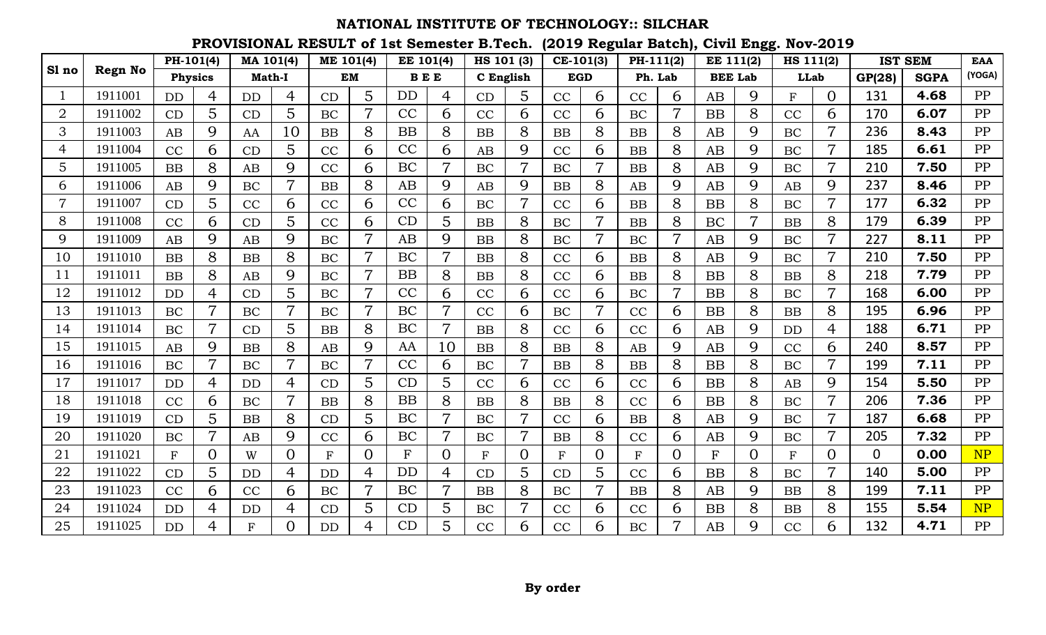|                |                | PH-101(4)    |                | MA 101(4)     |                | ME 101(4)    |                | EE 101(4)    |                | HS 101 (3)   |                | $CE-101(3)$  |                | PH-111(2)   |                | <b>EE 111(2)</b> |                | HS 111(2)    |                |              | <b>IST SEM</b> | <b>EAA</b> |
|----------------|----------------|--------------|----------------|---------------|----------------|--------------|----------------|--------------|----------------|--------------|----------------|--------------|----------------|-------------|----------------|------------------|----------------|--------------|----------------|--------------|----------------|------------|
| Sl no          | <b>Regn No</b> | Physics      |                | <b>Math-I</b> |                |              | <b>EM</b>      | <b>BEE</b>   |                | C English    |                |              | <b>EGD</b>     |             | Ph. Lab        | <b>BEE Lab</b>   |                | <b>LLab</b>  |                | GP(28)       | <b>SGPA</b>    | (YOGA)     |
|                | 1911001        | <b>DD</b>    | 4              | <b>DD</b>     | 4              | CD           | 5              | <b>DD</b>    | 4              | CD           | 5              | CC           | 6              | CC          | 6              | AB               | 9              | F            | $\Omega$       | 131          | 4.68           | PP         |
| $\overline{2}$ | 1911002        | CD           | 5              | CD            | 5              | <b>BC</b>    |                | CC           | 6              | CC           | 6              | CC           | 6              | <b>BC</b>   |                | <b>BB</b>        | 8              | CC           | 6              | 170          | 6.07           | PP         |
| 3              | 1911003        | AB           | 9              | AA            | 10             | BB           | 8              | <b>BB</b>    | 8              | BB           | 8              | BB           | 8              | <b>BB</b>   | 8              | AB               | 9              | BC           | 7              | 236          | 8.43           | PP         |
| 4              | 1911004        | CC           | 6              | CD            | 5              | CC           | 6              | CC           | 6              | AB           | 9              | CC           | 6              | <b>BB</b>   | 8              | AB               | 9              | <b>BC</b>    | $\overline{7}$ | 185          | 6.61           | PP         |
| 5              | 1911005        | <b>BB</b>    | 8              | AB            | 9              | CC           | 6              | BC           | $\overline{7}$ | BC           | $\overline{7}$ | BC           | $\overline{7}$ | <b>BB</b>   | 8              | AB               | 9              | BC           | $\overline{7}$ | 210          | 7.50           | PP         |
| 6              | 1911006        | AB           | 9              | <b>BC</b>     | $\overline{7}$ | <b>BB</b>    | 8              | AB           | 9              | AB           | 9              | BB           | 8              | AB          | 9              | AB               | 9              | AB           | 9              | 237          | 8.46           | PP         |
|                | 1911007        | CD           | 5              | CC            | 6              | CC           | 6              | CC           | 6              | BC           |                | CC           | 6              | <b>BB</b>   | 8              | <b>BB</b>        | 8              | BC           |                | 177          | 6.32           | PP         |
| 8              | 1911008        | CC           | 6              | CD            | 5              | CC           | 6              | CD           | 5              | <b>BB</b>    | 8              | BC           | 7              | BB          | 8              | BC               | $\overline{7}$ | <b>BB</b>    | 8              | 179          | 6.39           | PP         |
| 9              | 1911009        | AB           | 9              | AB            | 9              | BC           | $\overline{7}$ | AB           | 9              | BB           | 8              | BC           |                | BC          | $\overline{7}$ | AB               | 9              | BC           |                | 227          | 8.11           | PP         |
| 10             | 1911010        | <b>BB</b>    | 8              | <b>BB</b>     | 8              | <b>BC</b>    |                | BC           | $\overline{7}$ | <b>BB</b>    | 8              | CC           | 6              | <b>BB</b>   | 8              | AB               | 9              | <b>BC</b>    | $\overline{7}$ | 210          | 7.50           | PP         |
| 11             | 1911011        | <b>BB</b>    | 8              | AB            | 9              | <b>BC</b>    |                | <b>BB</b>    | 8              | <b>BB</b>    | 8              | CC           | 6              | <b>BB</b>   | 8              | <b>BB</b>        | 8              | BB           | 8              | 218          | 7.79           | PP         |
| 12             | 1911012        | DD           | 4              | CD            | 5              | BC           |                | CC           | 6              | CC           | 6              | CC           | 6              | BC          |                | <b>BB</b>        | 8              | BC           |                | 168          | 6.00           | PP         |
| 13             | 1911013        | BC           | $\overline{7}$ | <b>BC</b>     | $\overline{7}$ | <b>BC</b>    | $\overline{7}$ | BC           | $\overline{7}$ | CC           | 6              | BC           | $\overline{7}$ | CC          | 6              | <b>BB</b>        | 8              | BB           | 8              | 195          | 6.96           | PP         |
| 14             | 1911014        | <b>BC</b>    | $\overline{7}$ | CD            | 5              | <b>BB</b>    | 8              | BC           | $\overline{7}$ | <b>BB</b>    | 8              | CC           | 6              | CC          | 6              | AB               | 9              | <b>DD</b>    | 4              | 188          | 6.71           | PP         |
| 15             | 1911015        | AB           | 9              | <b>BB</b>     | 8              | AB           | 9              | AA           | 10             | <b>BB</b>    | 8              | BB           | 8              | AB          | 9              | AB               | 9              | CC           | 6              | 240          | 8.57           | PP         |
| 16             | 1911016        | BC           | $\overline{7}$ | <b>BC</b>     | $\overline{7}$ | <b>BC</b>    |                | CC           | 6              | BC           |                | BB           | 8              | <b>BB</b>   | 8              | <b>BB</b>        | 8              | <b>BC</b>    | $\overline{7}$ | 199          | 7.11           | PP         |
| 17             | 1911017        | <b>DD</b>    | 4              | <b>DD</b>     | $\overline{4}$ | CD           | 5              | CD           | 5              | CC           | 6              | CC           | 6              | CC          | 6              | <b>BB</b>        | 8              | AB           | 9              | 154          | 5.50           | PP         |
| 18             | 1911018        | CC           | 6              | BC            | 7              | BB           | 8              | <b>BB</b>    | 8              | BB           | 8              | BB           | 8              | CC          | 6              | <b>BB</b>        | 8              | BC           | 7              | 206          | 7.36           | PP         |
| 19             | 1911019        | CD           | 5              | <b>BB</b>     | 8              | CD           | 5              | <b>BC</b>    | $\overline{7}$ | <b>BC</b>    | $\overline{7}$ | CC           | 6              | <b>BB</b>   | 8              | AB               | 9              | BC           | $\overline{7}$ | 187          | 6.68           | PP         |
| 20             | 1911020        | <b>BC</b>    | $\overline{7}$ | AB            | 9              | CC           | 6              | BC           | $\overline{7}$ | BC           | $\overline{7}$ | BB           | 8              | CC          | 6              | AB               | 9              | <b>BC</b>    | $\overline{7}$ | 205          | 7.32           | PP         |
| 21             | 1911021        | $\mathbf{F}$ | $\Omega$       | W             | $\overline{0}$ | $\mathbf{F}$ | $\Omega$       | $\mathbf{F}$ | $\overline{0}$ | $\mathbf{F}$ | $\Omega$       | $\mathbf{F}$ | $\Omega$       | $\mathbf F$ | $\Omega$       | $\mathbf{F}$     | $\Omega$       | $\mathbf{F}$ | $\Omega$       | $\mathbf{0}$ | 0.00           | NP         |
| 22             | 1911022        | CD           | 5              | <b>DD</b>     | 4              | <b>DD</b>    | 4              | DD           | 4              | CD           | 5              | CD           | 5              | CC          | 6              | <b>BB</b>        | 8              | BC           |                | 140          | 5.00           | PP         |
| 23             | 1911023        | CC           | 6              | CC            | 6              | BC           | $\overline{7}$ | BC           | $\overline{7}$ | <b>BB</b>    | 8              | BC           |                | <b>BB</b>   | 8              | AB               | 9              | <b>BB</b>    | 8              | 199          | 7.11           | PP         |
| 24             | 1911024        | <b>DD</b>    | 4              | <b>DD</b>     | $\overline{4}$ | CD           | 5              | CD           | 5              | BC           | $\overline{7}$ | CC           | 6              | CC          | 6              | <b>BB</b>        | 8              | <b>BB</b>    | 8              | 155          | 5.54           | NP         |
| 25             | 1911025        | <b>DD</b>    | $\overline{4}$ | F             | $\overline{0}$ | <b>DD</b>    | 4              | CD           | 5              | CC           | 6              | CC           | 6              | BC          | $\overline{7}$ | AB               | 9              | CC           | 6              | 132          | 4.71           | PP         |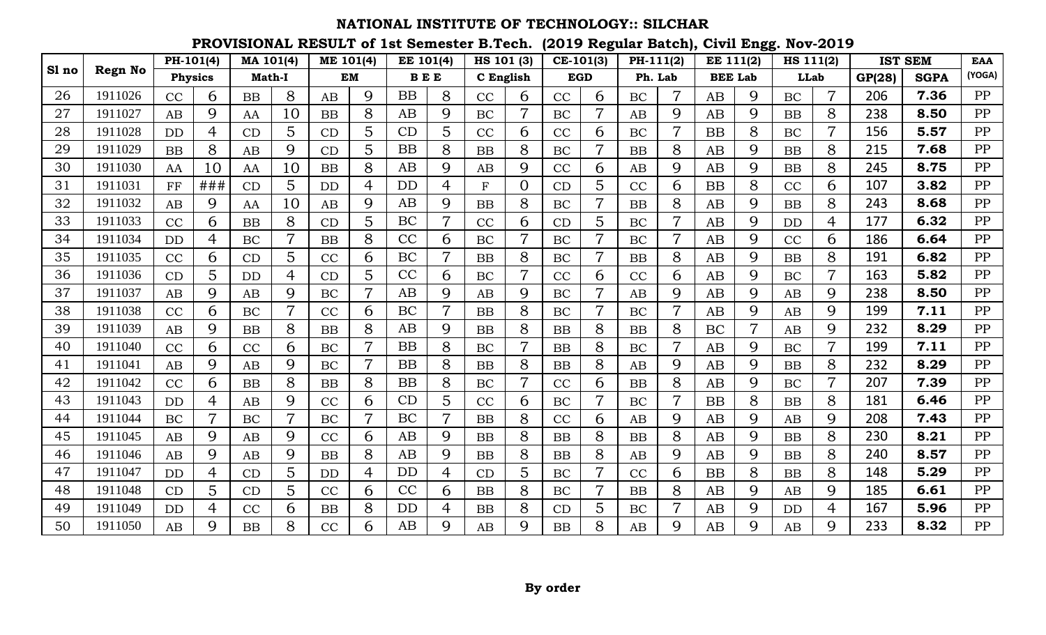|       |                | PH-101(4)      |                | MA 101(4) |                | ME 101(4) |                | EE 101(4)  |                | HS 101 (3)   |                | $CE-101(3)$ |                | PH-111(2) |                | <b>EE 111(2)</b> |                | HS 111(2)   |                |        | <b>IST SEM</b> | <b>EAA</b> |
|-------|----------------|----------------|----------------|-----------|----------------|-----------|----------------|------------|----------------|--------------|----------------|-------------|----------------|-----------|----------------|------------------|----------------|-------------|----------------|--------|----------------|------------|
| Sl no | <b>Regn No</b> | <b>Physics</b> |                | Math-I    |                |           | <b>EM</b>      | <b>BEE</b> |                | C English    |                |             | <b>EGD</b>     | Ph. Lab   |                | <b>BEE Lab</b>   |                | <b>LLab</b> |                | GP(28) | <b>SGPA</b>    | (YOGA)     |
| 26    | 1911026        | CC             | 6              | <b>BB</b> | 8              | AB        | 9              | BB         | 8              | CC           | 6              | CC          | 6              | <b>BC</b> | $\overline{7}$ | AB               | 9              | <b>BC</b>   | $\overline{7}$ | 206    | 7.36           | PP         |
| 27    | 1911027        | AB             | 9              | AA        | 10             | <b>BB</b> | 8              | AB         | 9              | BC           |                | <b>BC</b>   |                | AB        | 9              | AB               | 9              | <b>BB</b>   | 8              | 238    | 8.50           | PP         |
| 28    | 1911028        | <b>DD</b>      | 4              | CD        | 5              | CD        | 5              | CD         | 5              | CC           | 6              | CC          | 6              | BC        |                | <b>BB</b>        | 8              | BC          |                | 156    | 5.57           | PP         |
| 29    | 1911029        | <b>BB</b>      | 8              | AB        | 9              | CD        | 5              | BB         | 8              | <b>BB</b>    | 8              | <b>BC</b>   | 7              | <b>BB</b> | 8              | AB               | 9              | BB          | 8              | 215    | 7.68           | PP         |
| 30    | 1911030        | AA             | 10             | AA        | 10             | <b>BB</b> | 8              | AB         | 9              | AB           | 9              | CC          | 6              | AB        | 9              | AB               | 9              | BB          | 8              | 245    | 8.75           | PP         |
| 31    | 1911031        | FF             | ###            | CD        | 5              | <b>DD</b> | $\overline{4}$ | <b>DD</b>  | 4              | $\mathbf{F}$ | $\Omega$       | CD          | $\overline{5}$ | CC        | 6              | <b>BB</b>        | 8              | CC          | 6              | 107    | 3.82           | PP         |
| 32    | 1911032        | AB             | 9              | AA        | 10             | AB        | 9              | AB         | 9              | BB           | 8              | BC          |                | <b>BB</b> | 8              | AB               | 9              | <b>BB</b>   | 8              | 243    | 8.68           | PP         |
| 33    | 1911033        | CC             | 6              | <b>BB</b> | 8              | CD        | 5              | BC         | 7              | CC           | 6              | CD          | 5              | BC        | $\overline{7}$ | AB               | 9              | <b>DD</b>   | 4              | 177    | 6.32           | PP         |
| 34    | 1911034        | <b>DD</b>      | 4              | BC        | $\overline{7}$ | <b>BB</b> | 8              | CC         | 6              | BC           | $\overline{7}$ | BC          |                | BC        | $\overline{7}$ | AB               | 9              | CC          | 6              | 186    | 6.64           | PP         |
| 35    | 1911035        | CC             | 6              | CD        | 5              | CC        | 6              | <b>BC</b>  | $\overline{7}$ | <b>BB</b>    | 8              | BC          | $\overline{7}$ | <b>BB</b> | 8              | AB               | 9              | <b>BB</b>   | 8              | 191    | 6.82           | PP         |
| 36    | 1911036        | CD             | 5              | <b>DD</b> | $\overline{4}$ | CD        | 5              | CC         | 6              | BC           | 7              | CC          | 6              | CC        | 6              | AB               | 9              | <b>BC</b>   | $\overline{7}$ | 163    | 5.82           | PP         |
| 37    | 1911037        | AB             | 9              | AB        | 9              | BC        |                | AB         | 9              | AB           | 9              | BC          |                | AB        | 9              | AB               | 9              | AB          | 9              | 238    | 8.50           | PP         |
| 38    | 1911038        | CC             | 6              | BC        | $\overline{7}$ | CC        | 6              | BC         | 7              | BB           | 8              | BC          | 7              | BC        | $\overline{7}$ | AB               | 9              | AB          | 9              | 199    | 7.11           | PP         |
| 39    | 1911039        | AB             | 9              | <b>BB</b> | 8              | <b>BB</b> | 8              | AB         | 9              | <b>BB</b>    | 8              | <b>BB</b>   | 8              | <b>BB</b> | 8              | BC               | $\overline{7}$ | AB          | 9              | 232    | 8.29           | PP         |
| 40    | 1911040        | CC             | 6              | CC        | 6              | <b>BC</b> | $\overline{7}$ | BB         | 8              | <b>BC</b>    | $\overline{7}$ | <b>BB</b>   | 8              | <b>BC</b> | $\overline{7}$ | AB               | 9              | <b>BC</b>   | $\overline{7}$ | 199    | 7.11           | PP         |
| 41    | 1911041        | AB             | 9              | AB        | 9              | BC        |                | <b>BB</b>  | 8              | <b>BB</b>    | 8              | <b>BB</b>   | 8              | AB        | 9              | AB               | 9              | BB          | 8              | 232    | 8.29           | PP         |
| 42    | 1911042        | CC             | 6              | <b>BB</b> | 8              | <b>BB</b> | 8              | BB         | 8              | BC           |                | CC          | 6              | <b>BB</b> | 8              | AB               | 9              | BC          |                | 207    | 7.39           | PP         |
| 43    | 1911043        | <b>DD</b>      | 4              | AB        | 9              | CC        | 6              | CD         | 5              | CC           | 6              | BC          | 7              | BC        | $\overline{7}$ | <b>BB</b>        | 8              | BB          | 8              | 181    | 6.46           | PP         |
| 44    | 1911044        | BC             | $\overline{7}$ | <b>BC</b> | $\overline{7}$ | BC        | $\overline{7}$ | <b>BC</b>  | 7              | BB           | 8              | CC          | 6              | AB        | 9              | AB               | 9              | AB          | 9              | 208    | 7.43           | PP         |
| 45    | 1911045        | AB             | 9              | AB        | 9              | CC        | 6              | AB         | 9              | <b>BB</b>    | 8              | BB          | 8              | <b>BB</b> | 8              | AB               | 9              | <b>BB</b>   | 8              | 230    | 8.21           | PP         |
| 46    | 1911046        | AB             | 9              | AB        | 9              | <b>BB</b> | 8              | AB         | 9              | BB           | 8              | BB          | 8              | AB        | 9              | AB               | 9              | <b>BB</b>   | 8              | 240    | 8.57           | PP         |
| 47    | 1911047        | <b>DD</b>      | 4              | CD        | 5              | <b>DD</b> | 4              | <b>DD</b>  | 4              | CD           | 5              | BC          |                | CC        | 6              | <b>BB</b>        | 8              | <b>BB</b>   | 8              | 148    | 5.29           | PP         |
| 48    | 1911048        | CD             | 5              | CD        | 5              | CC        | 6              | CC         | 6              | <b>BB</b>    | 8              | <b>BC</b>   |                | <b>BB</b> | 8              | AB               | 9              | AB          | 9              | 185    | 6.61           | PP         |
| 49    | 1911049        | <b>DD</b>      | $\overline{4}$ | CC        | 6              | <b>BB</b> | 8              | <b>DD</b>  | 4              | <b>BB</b>    | 8              | CD          | 5              | BC        | $\overline{7}$ | AB               | 9              | <b>DD</b>   | 4              | 167    | 5.96           | PP         |
| 50    | 1911050        | AB             | 9              | <b>BB</b> | 8              | CC        | 6              | AB         | 9              | AB           | 9              | <b>BB</b>   | 8              | AB        | 9              | AB               | 9              | AB          | 9              | 233    | 8.32           | PP         |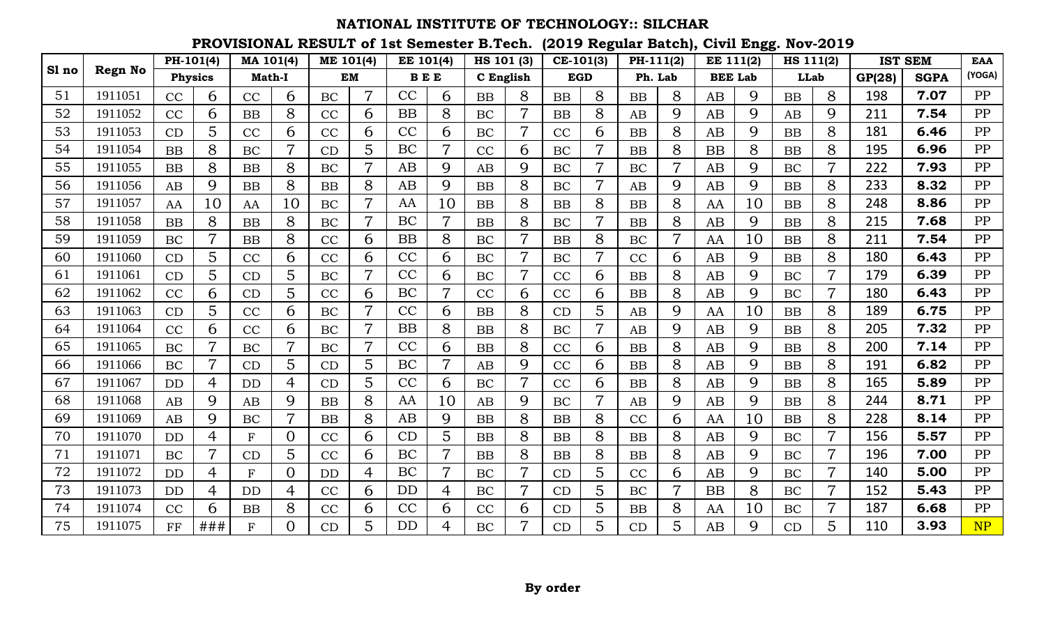|       |                | PH-101(4)      |                | MA 101(4)   |                | ME 101(4) |                | EE 101(4)  |                | HS 101 (3) |                | $CE-101(3)$ |                | PH-111(2) |                | <b>EE 111(2)</b> |    | HS 111(2) |                |        | <b>IST SEM</b> | <b>EAA</b> |
|-------|----------------|----------------|----------------|-------------|----------------|-----------|----------------|------------|----------------|------------|----------------|-------------|----------------|-----------|----------------|------------------|----|-----------|----------------|--------|----------------|------------|
| Sl no | <b>Regn No</b> | <b>Physics</b> |                | Math-I      |                |           | <b>EM</b>      | <b>BEE</b> |                | C English  |                | <b>EGD</b>  |                | Ph. Lab   |                | <b>BEE Lab</b>   |    | LLab      |                | GP(28) | <b>SGPA</b>    | (YOGA)     |
| 51    | 1911051        | CC             | 6              | CC          | 6              | BC        | $\overline{7}$ | CC         | 6              | <b>BB</b>  | 8              | <b>BB</b>   | 8              | <b>BB</b> | 8              | AB               | 9  | <b>BB</b> | 8              | 198    | 7.07           | PP         |
| 52    | 1911052        | CC             | 6              | <b>BB</b>   | 8              | CC        | 6              | <b>BB</b>  | 8              | BC         |                | <b>BB</b>   | 8              | AB        | 9              | AB               | 9  | AB        | 9              | 211    | 7.54           | PP         |
| 53    | 1911053        | CD             | 5              | CC          | 6              | CC        | 6              | CC         | 6              | BC         |                | CC          | 6              | <b>BB</b> | 8              | AB               | 9  | <b>BB</b> | 8              | 181    | 6.46           | PP         |
| 54    | 1911054        | <b>BB</b>      | 8              | <b>BC</b>   | $\overline{7}$ | CD        | 5              | BC         | $\overline{7}$ | CC         | 6              | <b>BC</b>   | $\overline{7}$ | <b>BB</b> | 8              | <b>BB</b>        | 8  | <b>BB</b> | 8              | 195    | 6.96           | PP         |
| 55    | 1911055        | <b>BB</b>      | 8              | <b>BB</b>   | 8              | BC        | $\overline{7}$ | AB         | 9              | AB         | 9              | BC          | $\overline{7}$ | BC        | $\overline{7}$ | AB               | 9  | BC        | $\overline{7}$ | 222    | 7.93           | PP         |
| 56    | 1911056        | AB             | 9              | <b>BB</b>   | 8              | <b>BB</b> | 8              | AB         | 9              | <b>BB</b>  | 8              | <b>BC</b>   | $\overline{7}$ | AB        | 9              | AB               | 9  | <b>BB</b> | 8              | 233    | 8.32           | PP         |
| 57    | 1911057        | AA             | 10             | AA          | 10             | BC        |                | AA         | 10             | <b>BB</b>  | 8              | <b>BB</b>   | 8              | <b>BB</b> | 8              | AA               | 10 | <b>BB</b> | 8              | 248    | 8.86           | PP         |
| 58    | 1911058        | <b>BB</b>      | 8              | <b>BB</b>   | 8              | BC        |                | BC         | $\overline{7}$ | <b>BB</b>  | 8              | BC          | $\overline{7}$ | <b>BB</b> | 8              | AB               | 9  | <b>BB</b> | 8              | 215    | 7.68           | PP         |
| 59    | 1911059        | BC             | 7              | <b>BB</b>   | 8              | CC        | 6              | BB         | 8              | BC         | $\overline{7}$ | <b>BB</b>   | 8              | BC        | 7              | AA               | 10 | <b>BB</b> | 8              | 211    | 7.54           | PP         |
| 60    | 1911060        | CD             | 5              | CC          | 6              | CC        | 6              | CC         | 6              | BC         | $\overline{7}$ | BC          | $\overline{7}$ | CC        | 6              | AB               | 9  | <b>BB</b> | 8              | 180    | 6.43           | PP         |
| 61    | 1911061        | CD             | 5              | CD          | 5              | BC        | 7              | CC         | 6              | BC         | 7              | CC          | 6              | <b>BB</b> | 8              | AB               | 9  | <b>BC</b> | 7              | 179    | 6.39           | PP         |
| 62    | 1911062        | CC             | 6              | CD          | 5              | CC        | 6              | BC         |                | CC         | 6              | CC          | 6              | <b>BB</b> | 8              | AB               | 9  | BC        |                | 180    | 6.43           | PP         |
| 63    | 1911063        | CD             | 5              | CC          | 6              | <b>BC</b> | 7              | CC         | 6              | <b>BB</b>  | 8              | CD          | 5              | AB        | 9              | AA               | 10 | <b>BB</b> | 8              | 189    | 6.75           | PP         |
| 64    | 1911064        | CC             | 6              | CC          | 6              | BC        | $\overline{7}$ | <b>BB</b>  | 8              | <b>BB</b>  | 8              | BC          | $\overline{7}$ | AB        | 9              | AB               | 9  | <b>BB</b> | 8              | 205    | 7.32           | PP         |
| 65    | 1911065        | <b>BC</b>      | $\overline{7}$ | <b>BC</b>   | $\overline{7}$ | <b>BC</b> | $\overline{7}$ | CC         | 6              | <b>BB</b>  | 8              | CC          | 6              | <b>BB</b> | 8              | AB               | 9  | <b>BB</b> | 8              | 200    | 7.14           | PP         |
| 66    | 1911066        | BC             | 7              | CD          | 5              | CD        | 5              | BC         |                | AB         | 9              | CC          | 6              | <b>BB</b> | 8              | AB               | 9  | <b>BB</b> | 8              | 191    | 6.82           | PP         |
| 67    | 1911067        | <b>DD</b>      | 4              | <b>DD</b>   | 4              | CD        | 5              | CC         | 6              | BC         |                | CC          | 6              | <b>BB</b> | 8              | AB               | 9  | <b>BB</b> | 8              | 165    | 5.89           | PP         |
| 68    | 1911068        | AB             | 9              | AB          | 9              | <b>BB</b> | 8              | AA         | 10             | AB         | 9              | BC          | $\overline{7}$ | AB        | 9              | AB               | 9  | <b>BB</b> | 8              | 244    | 8.71           | PP         |
| 69    | 1911069        | AB             | 9              | <b>BC</b>   | $\overline{7}$ | <b>BB</b> | 8              | AB         | 9              | BB         | 8              | <b>BB</b>   | 8              | CC        | 6              | AA               | 10 | <b>BB</b> | 8              | 228    | 8.14           | PP         |
| 70    | 1911070        | <b>DD</b>      | $\overline{4}$ | ${\bf F}$   | $\overline{0}$ | CC        | 6              | CD         | 5              | <b>BB</b>  | 8              | BB          | 8              | <b>BB</b> | 8              | AB               | 9  | <b>BC</b> | $\overline{7}$ | 156    | 5.57           | PP         |
| 71    | 1911071        | <b>BC</b>      | $\overline{7}$ | CD          | 5              | CC        | 6              | BC         | 7              | <b>BB</b>  | 8              | <b>BB</b>   | 8              | <b>BB</b> | 8              | AB               | 9  | BC        |                | 196    | 7.00           | PP         |
| 72    | 1911072        | <b>DD</b>      | 4              | $\mathbf F$ | $\overline{0}$ | DD        | 4              | BC         |                | BC         |                | CD          | 5              | CC        | 6              | AB               | 9  | BC        |                | 140    | 5.00           | PP         |
| 73    | 1911073        | <b>DD</b>      | 4              | <b>DD</b>   | 4              | CC        | 6              | DD         | 4              | BC         |                | CD          | 5              | BC        |                | <b>BB</b>        | 8  | <b>BC</b> |                | 152    | 5.43           | PP         |
| 74    | 1911074        | CC             | 6              | <b>BB</b>   | 8              | CC        | 6              | CC         | 6              | CC         | 6              | CD          | 5              | <b>BB</b> | 8              | AA               | 10 | BC        | $\overline{7}$ | 187    | 6.68           | PP         |
| 75    | 1911075        | FF             | ###            | F           | $\overline{0}$ | CD        | 5              | <b>DD</b>  | 4              | <b>BC</b>  |                | CD          | 5              | CD        | 5              | AB               | 9  | CD        | 5              | 110    | 3.93           | NP         |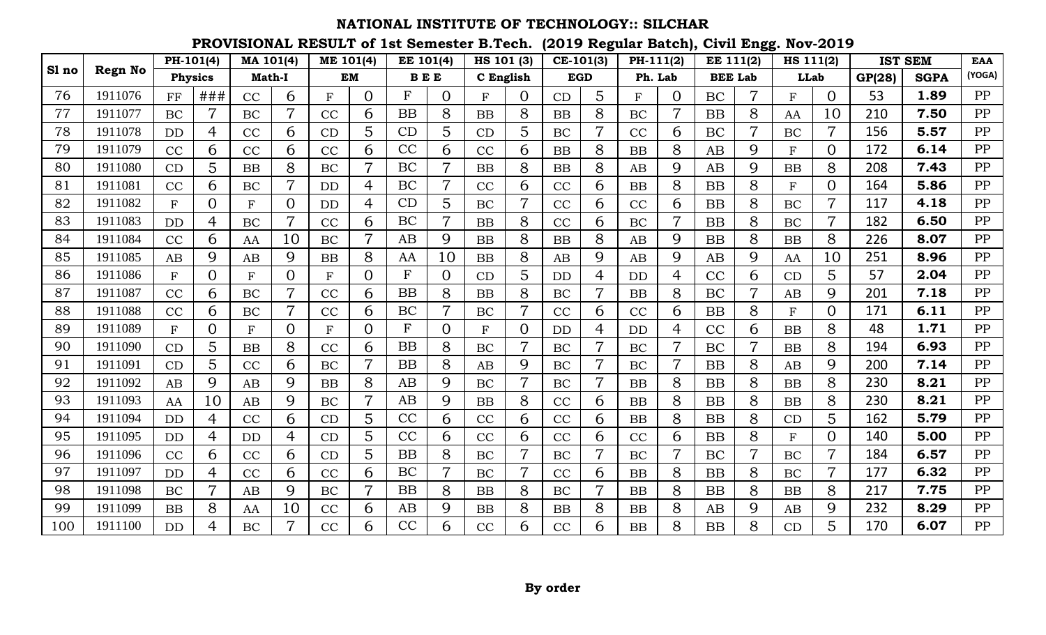|       |                | PH-101(4)    |                | MA 101(4)   |                | ME 101(4)    |                | <b>EE 101(4)</b> |                | HS 101 (3) |                | $CE-101(3)$ |                | PH-111(2) |                | <b>EE 111(2)</b> |                | HS 111(2)    |                |        | <b>IST SEM</b> | <b>EAA</b> |
|-------|----------------|--------------|----------------|-------------|----------------|--------------|----------------|------------------|----------------|------------|----------------|-------------|----------------|-----------|----------------|------------------|----------------|--------------|----------------|--------|----------------|------------|
| Sl no | <b>Regn No</b> | Physics      |                | Math-I      |                |              | <b>EM</b>      | <b>BEE</b>       |                | C English  |                |             | <b>EGD</b>     | Ph. Lab   |                | <b>BEE Lab</b>   |                | <b>LLab</b>  |                | GP(28) | <b>SGPA</b>    | (YOGA)     |
| 76    | 1911076        | FF           | ###            | CC          | 6              | $\mathbf{F}$ | $\Omega$       | $\mathbf{F}$     | $\Omega$       | F          | $\Omega$       | CD          | $\overline{5}$ | F         | $\Omega$       | <b>BC</b>        | $\overline{7}$ | F            | $\Omega$       | 53     | 1.89           | PP         |
| 77    | 1911077        | BC           |                | BC          |                | CC           | 6              | <b>BB</b>        | 8              | <b>BB</b>  | 8              | <b>BB</b>   | 8              | BC        |                | <b>BB</b>        | 8              | AA           | 10             | 210    | 7.50           | PP         |
| 78    | 1911078        | <b>DD</b>    | 4              | CC          | 6              | CD           | 5              | CD               | 5              | CD         | 5              | BC          |                | CC        | 6              | BC               | 7              | BC           | $\overline{7}$ | 156    | 5.57           | PP         |
| 79    | 1911079        | CC           | 6              | CC          | 6              | CC           | 6              | CC               | 6              | CC         | 6              | BB          | 8              | <b>BB</b> | 8              | AB               | 9              | $\mathbf{F}$ | $\overline{0}$ | 172    | 6.14           | PP         |
| 80    | 1911080        | CD           | 5              | <b>BB</b>   | 8              | BC           | $\overline{7}$ | <b>BC</b>        | $\overline{7}$ | BB         | 8              | BB          | 8              | AB        | 9              | AB               | 9              | BB           | 8              | 208    | 7.43           | PP         |
| 81    | 1911081        | CC           | 6              | <b>BC</b>   | $\overline{7}$ | <b>DD</b>    | $\overline{4}$ | BC               | $\overline{7}$ | CC         | 6              | CC          | 6              | <b>BB</b> | 8              | <b>BB</b>        | 8              | F            | $\Omega$       | 164    | 5.86           | PP         |
| 82    | 1911082        | $\mathbf{F}$ | $\Omega$       | $\mathbf F$ | $\Omega$       | <b>DD</b>    | 4              | CD               | 5              | BC         |                | CC          | 6              | CC        | 6              | <b>BB</b>        | 8              | BC           |                | 117    | 4.18           | PP         |
| 83    | 1911083        | <b>DD</b>    | 4              | BC          | $\overline{7}$ | CC           | 6              | <b>BC</b>        | 7              | <b>BB</b>  | 8              | CC          | 6              | BC        | $\overline{7}$ | <b>BB</b>        | 8              | BC           | $\overline{7}$ | 182    | 6.50           | PP         |
| 84    | 1911084        | CC           | 6              | AA          | 10             | BC           | $\overline{7}$ | AB               | 9              | BB         | 8              | BB          | 8              | AB        | 9              | <b>BB</b>        | 8              | BB           | 8              | 226    | 8.07           | PP         |
| 85    | 1911085        | AB           | 9              | AB          | 9              | <b>BB</b>    | 8              | AA               | 10             | <b>BB</b>  | 8              | AB          | 9              | AB        | 9              | AB               | 9              | AA           | 10             | 251    | 8.96           | PP         |
| 86    | 1911086        | $\mathbf{F}$ | $\Omega$       | F           | $\Omega$       | $\mathbf{F}$ | $\overline{0}$ | $_{\rm F}$       | $\Omega$       | CD         | 5              | <b>DD</b>   | 4              | <b>DD</b> | 4              | CC               | 6              | CD           | 5              | 57     | 2.04           | PP         |
| 87    | 1911087        | CC           | 6              | BC          |                | CC           | 6              | BB               | 8              | <b>BB</b>  | 8              | BC          |                | <b>BB</b> | 8              | BC               |                | AB           | 9              | 201    | 7.18           | PP         |
| 88    | 1911088        | CC           | 6              | BC          | $\overline{7}$ | CC           | 6              | BC               | 7              | BC         | $\overline{7}$ | CC          | 6              | CC        | 6              | <b>BB</b>        | 8              | $\mathbf F$  | $\Omega$       | 171    | 6.11           | PP         |
| 89    | 1911089        | $\mathbf{F}$ | $\Omega$       | ${\bf F}$   | $\Omega$       | $\mathbf{F}$ | $\Omega$       | ${\bf F}$        | $\Omega$       | ${\bf F}$  | $\Omega$       | <b>DD</b>   | 4              | <b>DD</b> | 4              | CC               | 6              | <b>BB</b>    | 8              | 48     | 1.71           | PP         |
| 90    | 1911090        | CD           | 5              | <b>BB</b>   | 8              | CC           | 6              | BB               | 8              | <b>BC</b>  | $\overline{7}$ | <b>BC</b>   | $\overline{7}$ | <b>BC</b> | $\overline{7}$ | <b>BC</b>        | $\overline{7}$ | <b>BB</b>    | 8              | 194    | 6.93           | PP         |
| 91    | 1911091        | CD           | 5              | CC          | 6              | BC           |                | <b>BB</b>        | 8              | AB         | 9              | BC          | 7              | BC        |                | <b>BB</b>        | 8              | AB           | 9              | 200    | 7.14           | PP         |
| 92    | 1911092        | AB           | 9              | AB          | 9              | <b>BB</b>    | 8              | AB               | 9              | BC         |                | BC          |                | <b>BB</b> | 8              | <b>BB</b>        | 8              | <b>BB</b>    | 8              | 230    | 8.21           | PP         |
| 93    | 1911093        | AA           | 10             | AB          | 9              | BC           | $\overline{7}$ | AB               | 9              | BB         | 8              | CC          | 6              | BB        | 8              | <b>BB</b>        | 8              | BB           | 8              | 230    | 8.21           | PP         |
| 94    | 1911094        | <b>DD</b>    | $\overline{4}$ | CC          | 6              | CD           | 5              | CC               | 6              | CC         | 6              | CC          | 6              | <b>BB</b> | 8              | <b>BB</b>        | 8              | CD           | 5              | 162    | 5.79           | PP         |
| 95    | 1911095        | <b>DD</b>    | $\overline{4}$ | <b>DD</b>   | $\overline{4}$ | CD           | 5              | CC               | 6              | CC         | 6              | CC          | 6              | CC        | 6              | <b>BB</b>        | 8              | F            | $\Omega$       | 140    | 5.00           | PP         |
| 96    | 1911096        | CC           | 6              | CC          | 6              | CD           | 5              | <b>BB</b>        | 8              | BC         | 7              | BC          |                | BC        | $\overline{7}$ | BC               | 7              | BC           | $\overline{7}$ | 184    | 6.57           | PP         |
| 97    | 1911097        | <b>DD</b>    | 4              | CC          | 6              | CC           | 6              | BC               | 7              | BC         |                | CC          | 6              | <b>BB</b> | 8              | <b>BB</b>        | 8              | BC           | $\overline{7}$ | 177    | 6.32           | PP         |
| 98    | 1911098        | BC           |                | AB          | 9              | BC           | 7              | BB               | 8              | BB         | 8              | <b>BC</b>   |                | <b>BB</b> | 8              | <b>BB</b>        | 8              | BB           | 8              | 217    | 7.75           | PP         |
| 99    | 1911099        | <b>BB</b>    | 8              | AA          | 10             | CC           | 6              | AB               | 9              | BB         | 8              | <b>BB</b>   | 8              | <b>BB</b> | 8              | AB               | 9              | AB           | 9              | 232    | 8.29           | PP         |
| 100   | 1911100        | <b>DD</b>    | 4              | <b>BC</b>   | $\overline{7}$ | CC           | 6              | CC               | 6              | CC         | 6              | CC          | 6              | <b>BB</b> | 8              | <b>BB</b>        | 8              | CD           | 5              | 170    | 6.07           | PP         |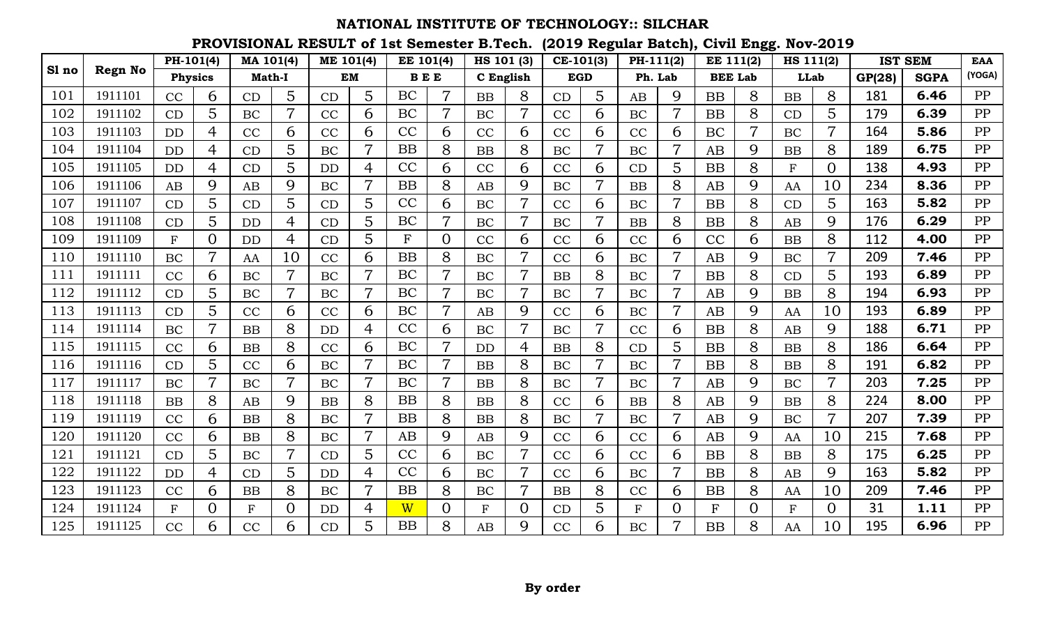|       |                | PH-101(4)      |                | MA 101(4)   |                | ME 101(4) |                | EE 101(4)               |                | HS 101 (3) |                | $CE-101(3)$ |                | PH-111(2) |                | EE 111(2)      |          | HS 111(2)   |                |        | <b>IST SEM</b> | <b>EAA</b> |
|-------|----------------|----------------|----------------|-------------|----------------|-----------|----------------|-------------------------|----------------|------------|----------------|-------------|----------------|-----------|----------------|----------------|----------|-------------|----------------|--------|----------------|------------|
| Sl no | <b>Regn No</b> | <b>Physics</b> |                | Math-I      |                |           | <b>EM</b>      | $\mathbf B\to\mathbf E$ |                | C English  |                | <b>EGD</b>  |                | Ph. Lab   |                | <b>BEE Lab</b> |          | <b>LLab</b> |                | GP(28) | <b>SGPA</b>    | (YOGA)     |
| 101   | 1911101        | CC             | 6              | CD          | 5              | CD        | 5              | BC                      | 7              | <b>BB</b>  | 8              | CD          | 5              | AB        | 9              | <b>BB</b>      | 8        | <b>BB</b>   | 8              | 181    | 6.46           | PP         |
| 102   | 1911102        | CD             | 5              | BC          |                | CC        | 6              | BC                      |                | BC         |                | CC          | 6              | BC        |                | <b>BB</b>      | 8        | CD          | 5              | 179    | 6.39           | PP         |
| 103   | 1911103        | <b>DD</b>      | 4              | CC          | 6              | CC        | 6              | CC                      | 6              | CC         | 6              | CC          | 6              | CC        | 6              | BC             |          | BC          |                | 164    | 5.86           | PP         |
| 104   | 1911104        | <b>DD</b>      | 4              | CD          | 5              | BC        | $\overline{7}$ | <b>BB</b>               | 8              | BB         | 8              | BC          | $\overline{7}$ | BC        | 7              | AB             | 9        | <b>BB</b>   | 8              | 189    | 6.75           | PP         |
| 105   | 1911105        | <b>DD</b>      | 4              | CD          | 5              | <b>DD</b> | 4              | CC                      | 6              | CC         | 6              | CC          | 6              | CD        | 5              | <b>BB</b>      | 8        | $\mathbf F$ | $\Omega$       | 138    | 4.93           | PP         |
| 106   | 1911106        | AB             | 9              | AB          | 9              | <b>BC</b> | $\overline{7}$ | <b>BB</b>               | 8              | AB         | 9              | <b>BC</b>   | $\overline{7}$ | <b>BB</b> | 8              | AB             | 9        | AA          | 10             | 234    | 8.36           | PP         |
| 107   | 1911107        | CD             | 5              | CD          | 5              | CD        | 5              | CC                      | 6              | BC         |                | CC          | 6              | BC        |                | <b>BB</b>      | 8        | CD          | 5              | 163    | 5.82           | PP         |
| 108   | 1911108        | CD             | 5              | <b>DD</b>   | 4              | CD        | 5              | BC                      |                | BC         |                | BC          |                | <b>BB</b> | 8              | <b>BB</b>      | 8        | AB          | 9              | 176    | 6.29           | PP         |
| 109   | 1911109        | $\mathbf{F}$   | $\Omega$       | <b>DD</b>   | 4              | CD        | 5              | $\mathbf F$             | $\overline{0}$ | CC         | 6              | CC          | 6              | CC        | 6              | CC             | 6        | <b>BB</b>   | 8              | 112    | 4.00           | PP         |
| 110   | 1911110        | BC             | $\overline{7}$ | AA          | 10             | CC        | 6              | <b>BB</b>               | 8              | BC         | $\overline{7}$ | CC          | 6              | BC        |                | AB             | 9        | BC          |                | 209    | 7.46           | PP         |
| 111   | 1911111        | CC             | 6              | BC          | $\overline{7}$ | <b>BC</b> | $\overline{7}$ | BC                      | $\overline{7}$ | BC         | $\overline{7}$ | <b>BB</b>   | 8              | BC        | $\overline{7}$ | <b>BB</b>      | 8        | CD          | 5              | 193    | 6.89           | PP         |
| 112   | 1911112        | CD             | 5              | BC          |                | BC        | $\overline{7}$ | BC                      | 7              | BC         |                | BC          |                | BC        |                | AB             | 9        | <b>BB</b>   | 8              | 194    | 6.93           | PP         |
| 113   | 1911113        | CD             | 5              | CC          | 6              | CC        | 6              | BC                      | 7              | AB         | 9              | CC          | 6              | BC        | 7              | AB             | 9        | AA          | 10             | 193    | 6.89           | PP         |
| 114   | 1911114        | BC             | $\overline{7}$ | <b>BB</b>   | 8              | <b>DD</b> | 4              | CC                      | 6              | BC         | $\overline{7}$ | <b>BC</b>   | $\overline{7}$ | CC        | 6              | <b>BB</b>      | 8        | AB          | 9              | 188    | 6.71           | PP         |
| 115   | 1911115        | CC             | 6              | <b>BB</b>   | 8              | CC        | 6              | BC                      | 7              | <b>DD</b>  | 4              | BB          | 8              | CD        | 5              | <b>BB</b>      | 8        | <b>BB</b>   | 8              | 186    | 6.64           | PP         |
| 116   | 1911116        | CD             | 5              | CC          | 6              | BC        |                | BC                      | 7              | <b>BB</b>  | 8              | <b>BC</b>   |                | BC        |                | <b>BB</b>      | 8        | <b>BB</b>   | 8              | 191    | 6.82           | PP         |
| 117   | 1911117        | BC             |                | BC          |                | BC        |                | BC                      |                | <b>BB</b>  | 8              | BC          |                | BC        |                | AB             | 9        | BC          |                | 203    | 7.25           | PP         |
| 118   | 1911118        | <b>BB</b>      | 8              | AB          | 9              | <b>BB</b> | 8              | <b>BB</b>               | 8              | <b>BB</b>  | 8              | CC          | 6              | <b>BB</b> | 8              | AB             | 9        | <b>BB</b>   | 8              | 224    | 8.00           | PP         |
| 119   | 1911119        | CC             | 6              | <b>BB</b>   | 8              | BC        | $\overline{7}$ | <b>BB</b>               | 8              | BB         | 8              | BC          | $\overline{7}$ | BC        | 7              | AB             | 9        | BC          | $\overline{7}$ | 207    | 7.39           | PP         |
| 120   | 1911120        | CC             | 6              | <b>BB</b>   | 8              | <b>BC</b> | $\overline{7}$ | AB                      | 9              | AB         | 9              | CC          | 6              | CC        | 6              | AB             | 9        | AA          | 10             | 215    | 7.68           | PP         |
| 121   | 1911121        | CD             | 5              | BC          |                | CD        | 5              | CC                      | 6              | BC         |                | CC          | 6              | CC        | 6              | <b>BB</b>      | 8        | <b>BB</b>   | 8              | 175    | 6.25           | PP         |
| 122   | 1911122        | <b>DD</b>      | 4              | CD          | 5              | DD        | 4              | CC                      | 6              | BC         |                | CC          | 6              | BC        |                | <b>BB</b>      | 8        | AB          | 9              | 163    | 5.82           | PP         |
| 123   | 1911123        | CC             | 6              | <b>BB</b>   | 8              | <b>BC</b> |                | <b>BB</b>               | 8              | BC         |                | BB          | 8              | CC        | 6              | <b>BB</b>      | 8        | AA          | 10             | 209    | 7.46           | PP         |
| 124   | 1911124        | $\mathbf F$    | $\Omega$       | $\mathbf F$ | $\overline{0}$ | <b>DD</b> | 4              | $\overline{\text{W}}$   | 0              | ${\bf F}$  | $\overline{0}$ | CD          | 5              | $\rm F$   | 0              | ${\bf F}$      | $\Omega$ | ${\bf F}$   | $\Omega$       | 31     | 1.11           | PP         |
| 125   | 1911125        | CC             | 6              | CC          | 6              | CD        | 5              | <b>BB</b>               | 8              | AB         | 9              | CC          | 6              | BC        |                | <b>BB</b>      | 8        | AA          | 10             | 195    | 6.96           | PP         |